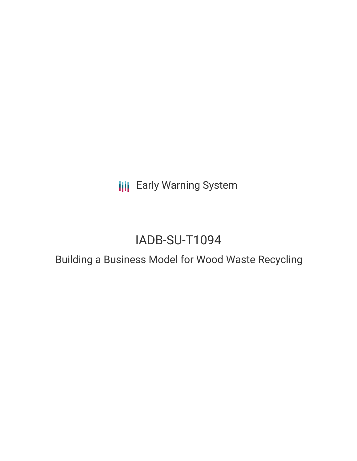**III** Early Warning System

# IADB-SU-T1094

Building a Business Model for Wood Waste Recycling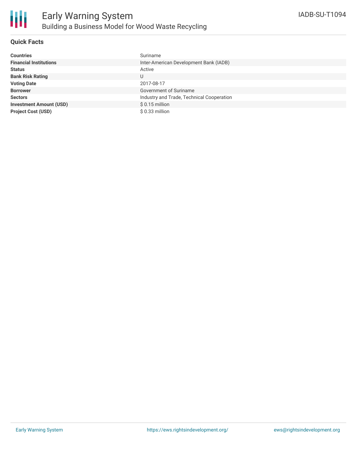

## **Quick Facts**

| <b>Countries</b>               | Suriname                                  |
|--------------------------------|-------------------------------------------|
| <b>Financial Institutions</b>  | Inter-American Development Bank (IADB)    |
| <b>Status</b>                  | Active                                    |
| <b>Bank Risk Rating</b>        | U                                         |
| <b>Voting Date</b>             | 2017-08-17                                |
| <b>Borrower</b>                | Government of Suriname                    |
| <b>Sectors</b>                 | Industry and Trade, Technical Cooperation |
| <b>Investment Amount (USD)</b> | $$0.15$ million                           |
| <b>Project Cost (USD)</b>      | $$0.33$ million                           |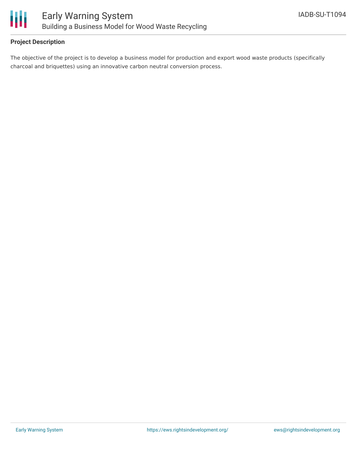

## **Project Description**

The objective of the project is to develop a business model for production and export wood waste products (specifically charcoal and briquettes) using an innovative carbon neutral conversion process.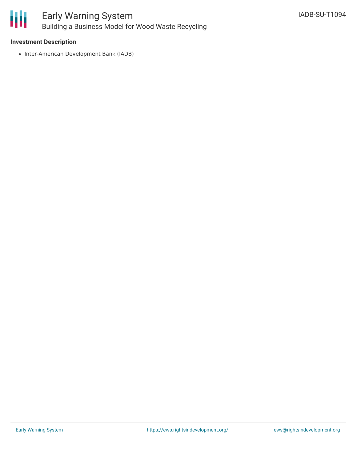

### **Investment Description**

• Inter-American Development Bank (IADB)